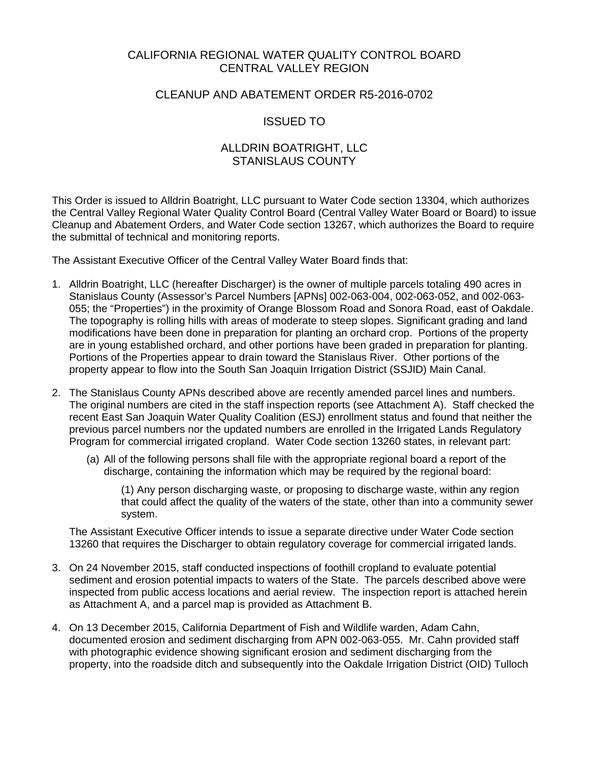## CALIFORNIA REGIONAL WATER QUALITY CONTROL BOARD CENTRAL VALLEY REGION

## CLEANUP AND ABATEMENT ORDER R5-2016-0702

## ISSUED TO

## ALLDRIN BOATRIGHT, LLC STANISLAUS COUNTY

This Order is issued to Alldrin Boatright, LLC pursuant to Water Code section 13304, which authorizes the Central Valley Regional Water Quality Control Board (Central Valley Water Board or Board) to issue Cleanup and Abatement Orders, and Water Code section 13267, which authorizes the Board to require the submittal of technical and monitoring reports.

The Assistant Executive Officer of the Central Valley Water Board finds that:

- 1. Alldrin Boatright, LLC (hereafter Discharger) is the owner of multiple parcels totaling 490 acres in Stanislaus County (Assessor's Parcel Numbers [APNs] 002-063-004, 002-063-052, and 002-063- 055; the "Properties") in the proximity of Orange Blossom Road and Sonora Road, east of Oakdale. The topography is rolling hills with areas of moderate to steep slopes. Significant grading and land modifications have been done in preparation for planting an orchard crop. Portions of the property are in young established orchard, and other portions have been graded in preparation for planting. Portions of the Properties appear to drain toward the Stanislaus River. Other portions of the property appear to flow into the South San Joaquin Irrigation District (SSJID) Main Canal.
- 2. The Stanislaus County APNs described above are recently amended parcel lines and numbers. The original numbers are cited in the staff inspection reports (see Attachment A). Staff checked the recent East San Joaquin Water Quality Coalition (ESJ) enrollment status and found that neither the previous parcel numbers nor the updated numbers are enrolled in the Irrigated Lands Regulatory Program for commercial irrigated cropland. Water Code section 13260 states, in relevant part:
	- (a) All of the following persons shall file with the appropriate regional board a report of the discharge, containing the information which may be required by the regional board:

(1) Any person discharging waste, or proposing to discharge waste, within any region that could affect the quality of the waters of the state, other than into a community sewer system.

The Assistant Executive Officer intends to issue a separate directive under Water Code section 13260 that requires the Discharger to obtain regulatory coverage for commercial irrigated lands.

- 3. On 24 November 2015, staff conducted inspections of foothill cropland to evaluate potential sediment and erosion potential impacts to waters of the State. The parcels described above were inspected from public access locations and aerial review. The inspection report is attached herein as Attachment A, and a parcel map is provided as Attachment B.
- 4. On 13 December 2015, California Department of Fish and Wildlife warden, Adam Cahn, documented erosion and sediment discharging from APN 002-063-055. Mr. Cahn provided staff with photographic evidence showing significant erosion and sediment discharging from the property, into the roadside ditch and subsequently into the Oakdale Irrigation District (OID) Tulloch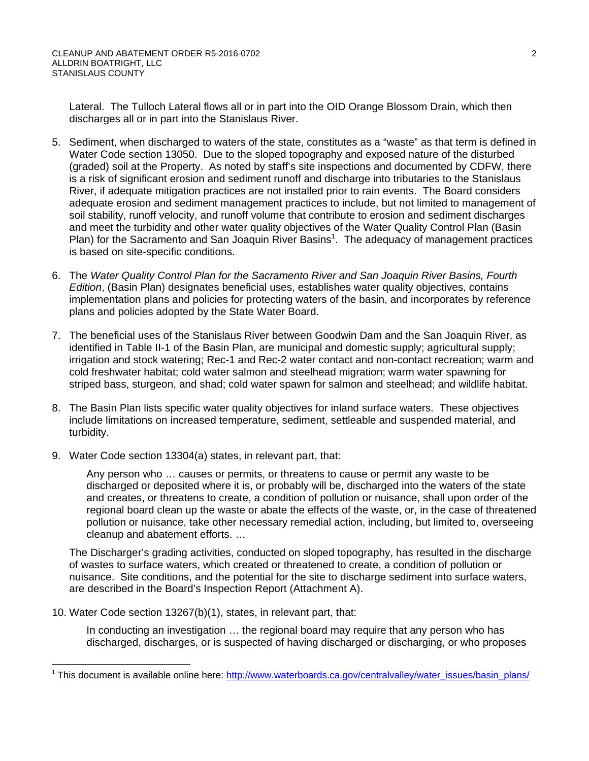Lateral. The Tulloch Lateral flows all or in part into the OID Orange Blossom Drain, which then discharges all or in part into the Stanislaus River.

- 5. Sediment, when discharged to waters of the state, constitutes as a "waste" as that term is defined in Water Code section 13050. Due to the sloped topography and exposed nature of the disturbed (graded) soil at the Property. As noted by staff's site inspections and documented by CDFW, there is a risk of significant erosion and sediment runoff and discharge into tributaries to the Stanislaus River, if adequate mitigation practices are not installed prior to rain events. The Board considers adequate erosion and sediment management practices to include, but not limited to management of soil stability, runoff velocity, and runoff volume that contribute to erosion and sediment discharges and meet the turbidity and other water quality objectives of the Water Quality Control Plan (Basin Plan) for the Sacramento and San Joaquin River Basins<sup>1</sup>. The adequacy of management practices is based on site-specific conditions.
- 6. The *Water Quality Control Plan for the Sacramento River and San Joaquin River Basins, Fourth Edition*, (Basin Plan) designates beneficial uses, establishes water quality objectives, contains implementation plans and policies for protecting waters of the basin, and incorporates by reference plans and policies adopted by the State Water Board.
- 7. The beneficial uses of the Stanislaus River between Goodwin Dam and the San Joaquin River, as identified in Table II-1 of the Basin Plan, are municipal and domestic supply; agricultural supply; irrigation and stock watering; Rec-1 and Rec-2 water contact and non-contact recreation; warm and cold freshwater habitat; cold water salmon and steelhead migration; warm water spawning for striped bass, sturgeon, and shad; cold water spawn for salmon and steelhead; and wildlife habitat.
- 8. The Basin Plan lists specific water quality objectives for inland surface waters. These objectives include limitations on increased temperature, sediment, settleable and suspended material, and turbidity.
- 9. Water Code section 13304(a) states, in relevant part, that:

Any person who … causes or permits, or threatens to cause or permit any waste to be discharged or deposited where it is, or probably will be, discharged into the waters of the state and creates, or threatens to create, a condition of pollution or nuisance, shall upon order of the regional board clean up the waste or abate the effects of the waste, or, in the case of threatened pollution or nuisance, take other necessary remedial action, including, but limited to, overseeing cleanup and abatement efforts. …

The Discharger's grading activities, conducted on sloped topography, has resulted in the discharge of wastes to surface waters, which created or threatened to create, a condition of pollution or nuisance. Site conditions, and the potential for the site to discharge sediment into surface waters, are described in the Board's Inspection Report (Attachment A).

10. Water Code section 13267(b)(1), states, in relevant part, that:

 $\overline{a}$ 

In conducting an investigation … the regional board may require that any person who has discharged, discharges, or is suspected of having discharged or discharging, or who proposes

<sup>&</sup>lt;sup>1</sup> This document is available online here: http://www.waterboards.ca.gov/centralvalley/water\_issues/basin\_plans/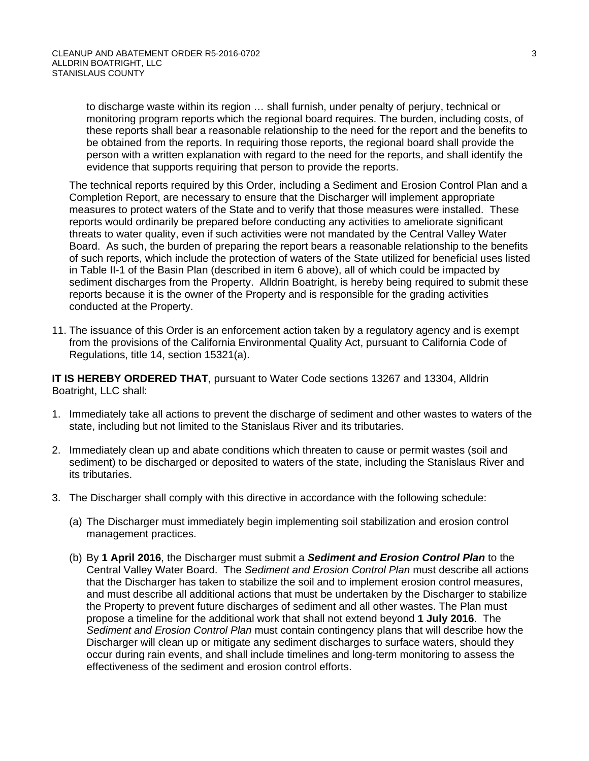to discharge waste within its region … shall furnish, under penalty of perjury, technical or monitoring program reports which the regional board requires. The burden, including costs, of these reports shall bear a reasonable relationship to the need for the report and the benefits to be obtained from the reports. In requiring those reports, the regional board shall provide the person with a written explanation with regard to the need for the reports, and shall identify the evidence that supports requiring that person to provide the reports.

 The technical reports required by this Order, including a Sediment and Erosion Control Plan and a Completion Report, are necessary to ensure that the Discharger will implement appropriate measures to protect waters of the State and to verify that those measures were installed. These reports would ordinarily be prepared before conducting any activities to ameliorate significant threats to water quality, even if such activities were not mandated by the Central Valley Water Board. As such, the burden of preparing the report bears a reasonable relationship to the benefits of such reports, which include the protection of waters of the State utilized for beneficial uses listed in Table II-1 of the Basin Plan (described in item 6 above), all of which could be impacted by sediment discharges from the Property. Alldrin Boatright, is hereby being required to submit these reports because it is the owner of the Property and is responsible for the grading activities conducted at the Property.

11. The issuance of this Order is an enforcement action taken by a regulatory agency and is exempt from the provisions of the California Environmental Quality Act, pursuant to California Code of Regulations, title 14, section 15321(a).

**IT IS HEREBY ORDERED THAT**, pursuant to Water Code sections 13267 and 13304, Alldrin Boatright, LLC shall:

- 1. Immediately take all actions to prevent the discharge of sediment and other wastes to waters of the state, including but not limited to the Stanislaus River and its tributaries.
- 2. Immediately clean up and abate conditions which threaten to cause or permit wastes (soil and sediment) to be discharged or deposited to waters of the state, including the Stanislaus River and its tributaries.
- 3. The Discharger shall comply with this directive in accordance with the following schedule:
	- (a) The Discharger must immediately begin implementing soil stabilization and erosion control management practices.
	- (b) By **1 April 2016**, the Discharger must submit a *Sediment and Erosion Control Plan* to the Central Valley Water Board. The *Sediment and Erosion Control Plan* must describe all actions that the Discharger has taken to stabilize the soil and to implement erosion control measures, and must describe all additional actions that must be undertaken by the Discharger to stabilize the Property to prevent future discharges of sediment and all other wastes. The Plan must propose a timeline for the additional work that shall not extend beyond **1 July 2016**. The *Sediment and Erosion Control Plan* must contain contingency plans that will describe how the Discharger will clean up or mitigate any sediment discharges to surface waters, should they occur during rain events, and shall include timelines and long-term monitoring to assess the effectiveness of the sediment and erosion control efforts.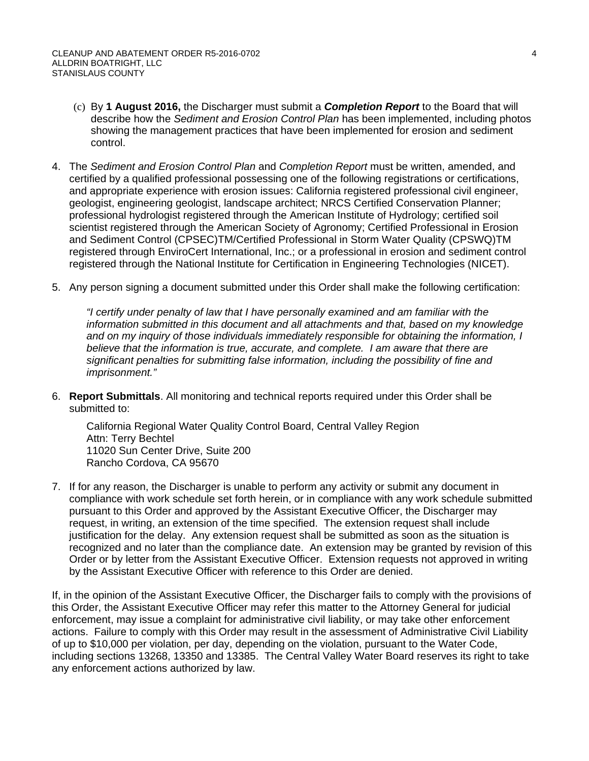- (c) By **1 August 2016,** the Discharger must submit a *Completion Report* to the Board that will describe how the *Sediment and Erosion Control Plan* has been implemented, including photos showing the management practices that have been implemented for erosion and sediment control.
- 4. The *Sediment and Erosion Control Plan* and *Completion Report* must be written, amended, and certified by a qualified professional possessing one of the following registrations or certifications, and appropriate experience with erosion issues: California registered professional civil engineer, geologist, engineering geologist, landscape architect; NRCS Certified Conservation Planner; professional hydrologist registered through the American Institute of Hydrology; certified soil scientist registered through the American Society of Agronomy; Certified Professional in Erosion and Sediment Control (CPSEC)TM/Certified Professional in Storm Water Quality (CPSWQ)TM registered through EnviroCert International, Inc.; or a professional in erosion and sediment control registered through the National Institute for Certification in Engineering Technologies (NICET).
- 5. Any person signing a document submitted under this Order shall make the following certification:

*"I certify under penalty of law that I have personally examined and am familiar with the information submitted in this document and all attachments and that, based on my knowledge and on my inquiry of those individuals immediately responsible for obtaining the information, I believe that the information is true, accurate, and complete. I am aware that there are significant penalties for submitting false information, including the possibility of fine and imprisonment."*

6. **Report Submittals**. All monitoring and technical reports required under this Order shall be submitted to:

California Regional Water Quality Control Board, Central Valley Region Attn: Terry Bechtel 11020 Sun Center Drive, Suite 200 Rancho Cordova, CA 95670

7. If for any reason, the Discharger is unable to perform any activity or submit any document in compliance with work schedule set forth herein, or in compliance with any work schedule submitted pursuant to this Order and approved by the Assistant Executive Officer, the Discharger may request, in writing, an extension of the time specified. The extension request shall include justification for the delay. Any extension request shall be submitted as soon as the situation is recognized and no later than the compliance date. An extension may be granted by revision of this Order or by letter from the Assistant Executive Officer. Extension requests not approved in writing by the Assistant Executive Officer with reference to this Order are denied.

If, in the opinion of the Assistant Executive Officer, the Discharger fails to comply with the provisions of this Order, the Assistant Executive Officer may refer this matter to the Attorney General for judicial enforcement, may issue a complaint for administrative civil liability, or may take other enforcement actions. Failure to comply with this Order may result in the assessment of Administrative Civil Liability of up to \$10,000 per violation, per day, depending on the violation, pursuant to the Water Code, including sections 13268, 13350 and 13385. The Central Valley Water Board reserves its right to take any enforcement actions authorized by law.